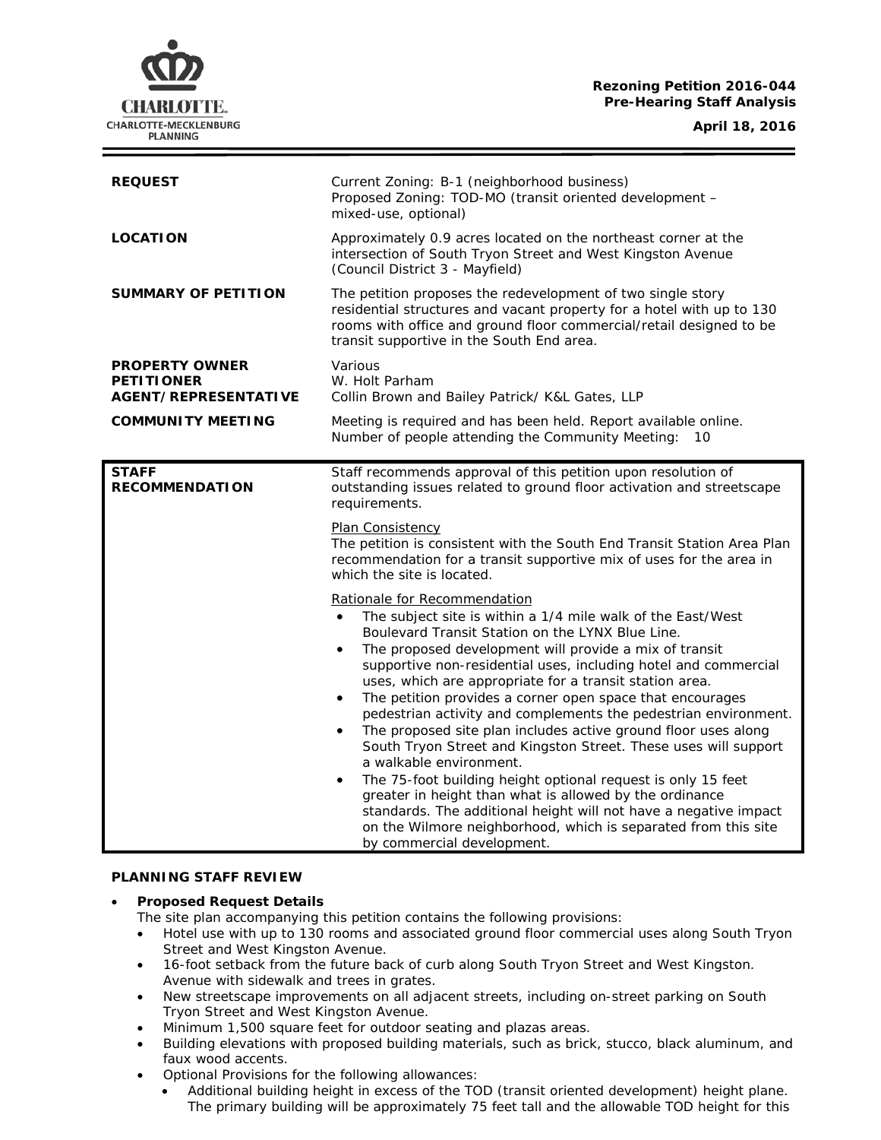## **Rezoning Petition 2016-044 Pre-Hearing Staff Analysis**

CHARLOTTE. CHARLOTTE-MECKLENBURG **PLANNING** 

| <b>REQUEST</b>                                                            | Current Zoning: B-1 (neighborhood business)<br>Proposed Zoning: TOD-MO (transit oriented development -<br>mixed-use, optional)                                                                                                                                                                                                                                                                                                                                                                                                                                                                                                                                                                                                                                                                                                                                                                                                                                                          |
|---------------------------------------------------------------------------|-----------------------------------------------------------------------------------------------------------------------------------------------------------------------------------------------------------------------------------------------------------------------------------------------------------------------------------------------------------------------------------------------------------------------------------------------------------------------------------------------------------------------------------------------------------------------------------------------------------------------------------------------------------------------------------------------------------------------------------------------------------------------------------------------------------------------------------------------------------------------------------------------------------------------------------------------------------------------------------------|
| <b>LOCATION</b>                                                           | Approximately 0.9 acres located on the northeast corner at the<br>intersection of South Tryon Street and West Kingston Avenue<br>(Council District 3 - Mayfield)                                                                                                                                                                                                                                                                                                                                                                                                                                                                                                                                                                                                                                                                                                                                                                                                                        |
| <b>SUMMARY OF PETITION</b>                                                | The petition proposes the redevelopment of two single story<br>residential structures and vacant property for a hotel with up to 130<br>rooms with office and ground floor commercial/retail designed to be<br>transit supportive in the South End area.                                                                                                                                                                                                                                                                                                                                                                                                                                                                                                                                                                                                                                                                                                                                |
| <b>PROPERTY OWNER</b><br><b>PETITIONER</b><br><b>AGENT/REPRESENTATIVE</b> | Various<br>W. Holt Parham<br>Collin Brown and Bailey Patrick/ K&L Gates, LLP                                                                                                                                                                                                                                                                                                                                                                                                                                                                                                                                                                                                                                                                                                                                                                                                                                                                                                            |
| <b>COMMUNITY MEETING</b>                                                  | Meeting is required and has been held. Report available online.<br>Number of people attending the Community Meeting:<br>10                                                                                                                                                                                                                                                                                                                                                                                                                                                                                                                                                                                                                                                                                                                                                                                                                                                              |
| <b>STAFF</b><br><b>RECOMMENDATION</b>                                     | Staff recommends approval of this petition upon resolution of<br>outstanding issues related to ground floor activation and streetscape<br>requirements.                                                                                                                                                                                                                                                                                                                                                                                                                                                                                                                                                                                                                                                                                                                                                                                                                                 |
|                                                                           | Plan Consistency<br>The petition is consistent with the South End Transit Station Area Plan<br>recommendation for a transit supportive mix of uses for the area in<br>which the site is located.                                                                                                                                                                                                                                                                                                                                                                                                                                                                                                                                                                                                                                                                                                                                                                                        |
|                                                                           | Rationale for Recommendation<br>The subject site is within a 1/4 mile walk of the East/West<br>$\bullet$<br>Boulevard Transit Station on the LYNX Blue Line.<br>The proposed development will provide a mix of transit<br>$\bullet$<br>supportive non-residential uses, including hotel and commercial<br>uses, which are appropriate for a transit station area.<br>The petition provides a corner open space that encourages<br>$\bullet$<br>pedestrian activity and complements the pedestrian environment.<br>The proposed site plan includes active ground floor uses along<br>٠<br>South Tryon Street and Kingston Street. These uses will support<br>a walkable environment.<br>The 75-foot building height optional request is only 15 feet<br>٠<br>greater in height than what is allowed by the ordinance<br>standards. The additional height will not have a negative impact<br>on the Wilmore neighborhood, which is separated from this site<br>by commercial development. |

## **PLANNING STAFF REVIEW**

## • **Proposed Request Details**

- The site plan accompanying this petition contains the following provisions:
- Hotel use with up to 130 rooms and associated ground floor commercial uses along South Tryon Street and West Kingston Avenue.
- 16-foot setback from the future back of curb along South Tryon Street and West Kingston. Avenue with sidewalk and trees in grates.
- New streetscape improvements on all adjacent streets, including on-street parking on South Tryon Street and West Kingston Avenue.
- Minimum 1,500 square feet for outdoor seating and plazas areas.
- Building elevations with proposed building materials, such as brick, stucco, black aluminum, and faux wood accents.
- Optional Provisions for the following allowances:
	- Additional building height in excess of the TOD (transit oriented development) height plane. The primary building will be approximately 75 feet tall and the allowable TOD height for this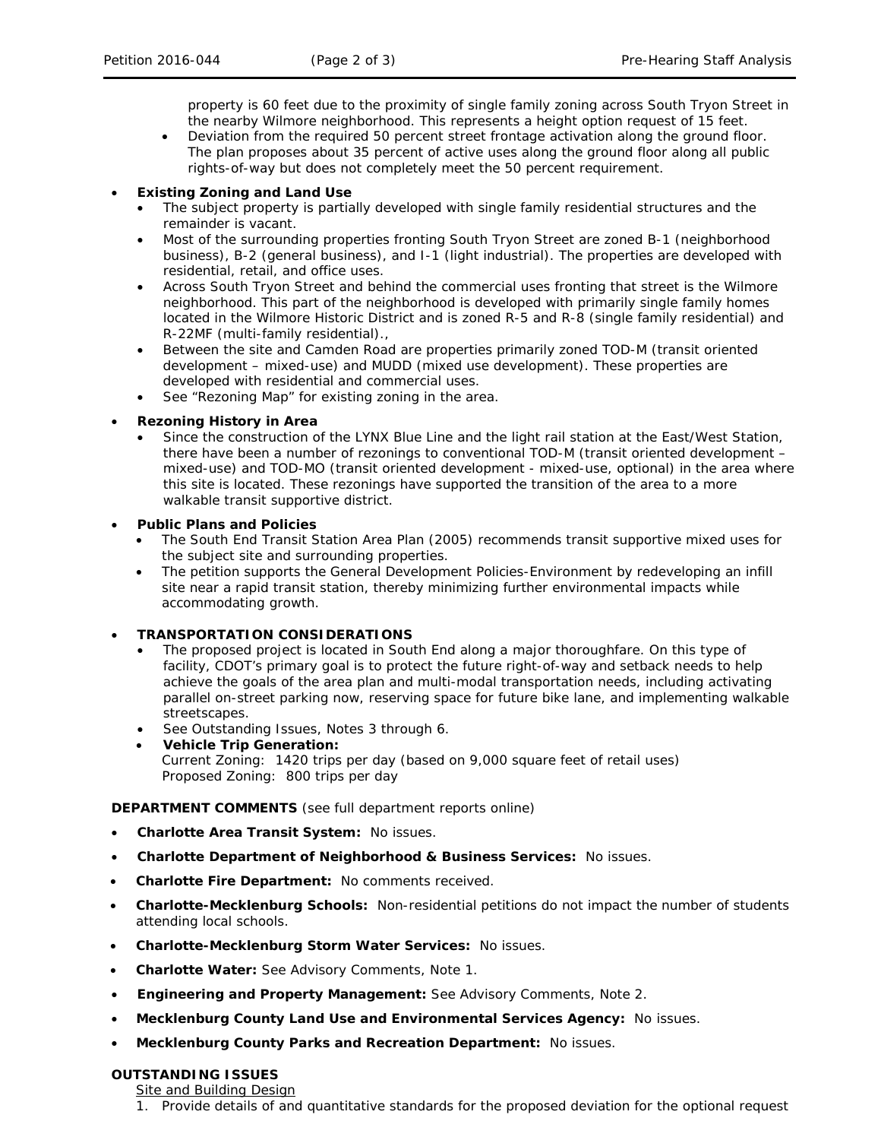property is 60 feet due to the proximity of single family zoning across South Tryon Street in the nearby Wilmore neighborhood. This represents a height option request of 15 feet.

• Deviation from the required 50 percent street frontage activation along the ground floor. The plan proposes about 35 percent of active uses along the ground floor along all public rights-of-way but does not completely meet the 50 percent requirement.

## • **Existing Zoning and Land Use**

- The subject property is partially developed with single family residential structures and the remainder is vacant.
- Most of the surrounding properties fronting South Tryon Street are zoned B-1 (neighborhood business), B-2 (general business), and I-1 (light industrial). The properties are developed with residential, retail, and office uses.
- Across South Tryon Street and behind the commercial uses fronting that street is the Wilmore neighborhood. This part of the neighborhood is developed with primarily single family homes located in the Wilmore Historic District and is zoned R-5 and R-8 (single family residential) and R-22MF (multi-family residential).,
- Between the site and Camden Road are properties primarily zoned TOD-M (transit oriented development – mixed-use) and MUDD (mixed use development). These properties are developed with residential and commercial uses.
- See "Rezoning Map" for existing zoning in the area.

## • **Rezoning History in Area**

Since the construction of the LYNX Blue Line and the light rail station at the East/West Station, there have been a number of rezonings to conventional TOD-M (transit oriented development – mixed-use) and TOD-MO (transit oriented development - mixed-use, optional) in the area where this site is located. These rezonings have supported the transition of the area to a more walkable transit supportive district.

## • **Public Plans and Policies**

- The *South End Transit Station Area Plan* (2005) recommends transit supportive mixed uses for the subject site and surrounding properties.
- The petition supports the *General Development Policies-Environment* by redeveloping an infill site near a rapid transit station, thereby minimizing further environmental impacts while accommodating growth.

## • **TRANSPORTATION CONSIDERATIONS**

- The proposed project is located in South End along a major thoroughfare. On this type of facility, CDOT's primary goal is to protect the future right-of-way and setback needs to help achieve the goals of the area plan and multi-modal transportation needs, including activating parallel on-street parking now, reserving space for future bike lane, and implementing walkable streetscapes.
- See Outstanding Issues, Notes 3 through 6.
- **Vehicle Trip Generation:** Current Zoning: 1420 trips per day (based on 9,000 square feet of retail uses) Proposed Zoning: 800 trips per day

## **DEPARTMENT COMMENTS** (see full department reports online)

- **Charlotte Area Transit System:** No issues.
- **Charlotte Department of Neighborhood & Business Services:** No issues.
- **Charlotte Fire Department:** No comments received.
- **Charlotte-Mecklenburg Schools:** Non-residential petitions do not impact the number of students attending local schools.
- **Charlotte-Mecklenburg Storm Water Services:** No issues.
- **Charlotte Water:** See Advisory Comments, Note 1.
- **Engineering and Property Management:** See Advisory Comments, Note 2.
- **Mecklenburg County Land Use and Environmental Services Agency:** No issues.
- **Mecklenburg County Parks and Recreation Department:** No issues.

## **OUTSTANDING ISSUES**

# Site and Building Design

1. Provide details of and quantitative standards for the proposed deviation for the optional request